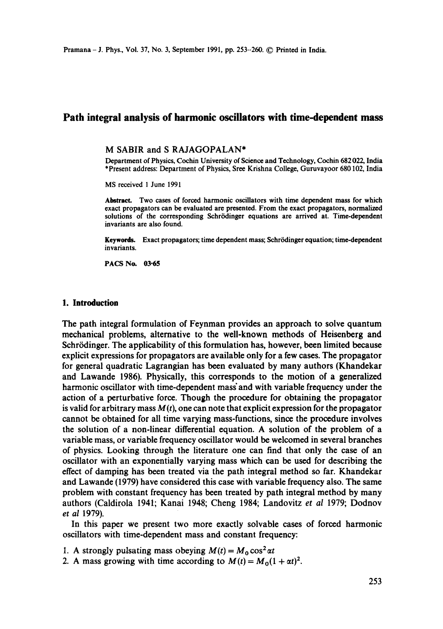# **Path integral analysis of harmonic oscillators with time-dependent mass**

#### **M** SABIR and S RAJAGOPALAN\*

Department of Physics, Cochin University of Science and Technology, Cochin 682 022, India \*Present address: Department of Physics, Srce Krishna College, Guruvayoor 680102, India

MS received 1 June 1991

Abstract. Two cases of forced harmonic oscillators with time dependent mass for which exact propagators can be evaluated are presented. From the exact propagators, normalized solutions of the corresponding Schrrdinger equations are arrived at. Time-dependent invariants are also found.

Keywords. Exact propagators; time dependent mass; Schr6dinger equation; time-dependent invariants.

PACS No. 03-65

## 1. **Introduction**

The path integral formulation of Feynman provides an approach to solve quantum mechanical problems, alternative to the well-known methods of Heisenberg and Schrödinger. The applicability of this formulation has, however, been limited because explicit expressions for propagators are available only for a few cases. The propagator for general quadratic Lagrangian has been evaluated by many authors (Khandekar and Lawande 1986). Physically, this corresponds to the motion of a generalized harmonic oscillator with time-dependent mass'and with variable frequency under the action of a perturbative force. Though the procedure for obtaining the propagator is valid for arbitrary mass  $M(t)$ , one can note that explicit expression for the propagator cannot be obtained for all time varying mass-functions, since the procedure involves the solution of a non-linear differential equation. A solution of the problem of a variable mass, or variable frequency oscillator would be welcomed in several branches of physics. Looking through the literature one can find that only the case of an oscillator with an exponentially varying mass which can be used for describing the effect of damping has been treated via the path integral method so far. Khandekar and Lawande (1979) have considered this case with variable frequency also. The same problem with constant frequency has been treated by path integral method by many authors (Caldirola 1941; Kanai 1948; Cheng 1984; Landovitz *et al* 1979; Dodnov *et al* 1979).

In this paper we present two more exactly solvable cases of forced harmonic oscillators with time-dependent mass and constant frequency:

- 1. A strongly pulsating mass obeying  $M(t) = M_0 \cos^2 \alpha t$
- 2. A mass growing with time according to  $M(t) = M_0(1 + \alpha t)^2$ .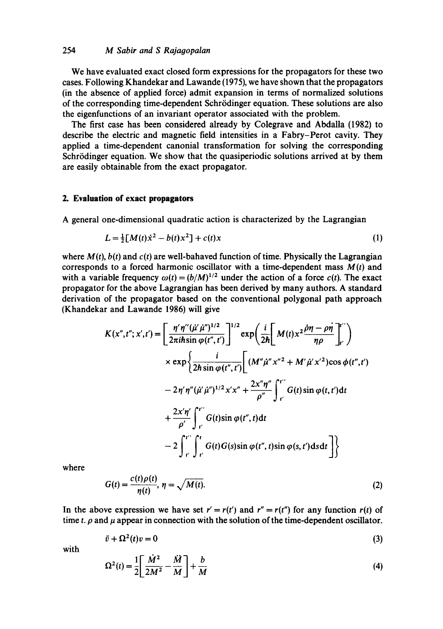### 254 *M Sabir and S Rajagopalan*

We have evaluated exact closed form expressions for the propagators for these two cases. Following Khandekar and Lawande (1975), we have shown that the propagators (in the absence of applied force) admit expansion in terms of normalized solutions of the corresponding time-dependent Schrödinger equation. These solutions are also the eigenfunctions of an invariant operator associated with the problem.

The first case has been considered already by Colegrave and Abdalla (1982) to describe the electric and magnetic field intensities in a Fabry-Perot cavity. They applied a time-dependent canonial transformation for solving the corresponding Schrödinger equation. We show that the quasiperiodic solutions arrived at by them are easily obtainable from the exact propagator.

## **2. Evaluation of exact propagators**

A general one-dimensional quadratic action is characterized by the Lagrangian

$$
L = \frac{1}{2} [M(t) \dot{x}^2 - b(t) x^2] + c(t) x \tag{1}
$$

where  $M(t)$ ,  $b(t)$  and  $c(t)$  are well-bahaved function of time. Physically the Lagrangian corresponds to a forced harmonic oscillator with a time-dependent mass  $M(t)$  and with a variable frequency  $\omega(t) = (b/M)^{1/2}$  under the action of a force  $c(t)$ . The exact propagator for the above Lagrangian has been derived by many authors. A standard derivation of the propagator based on the conventional polygonal path approach (Khandekar and Lawande 1986) will give

$$
K(x'',t'';x',t') = \left[\frac{\eta'\eta''(\mu'\mu'')^{1/2}}{2\pi i\hbar \sin\varphi(t'',t')}\right]^{1/2} \exp\left(\frac{i}{2\hbar}\left[M(t)x^2\frac{\partial\eta-\rho\eta}{\eta\rho}\right]_{t'}^{t''}\right)
$$
  

$$
\times \exp\left\{\frac{i}{2\hbar \sin\varphi(t'',t')}\left[(M''\mu''x''^2+M'\mu'x'^2)\cos\varphi(t'',t')\right.\right.\left.-2\eta'\eta''(\mu'\mu'')^{1/2}x'x'' + \frac{2x''\eta''}{\rho''}\int_{t'}^{t''}G(t)\sin\varphi(t,t')dt\right.\left.+\frac{2x'\eta'}{\rho'}\int_{t'}^{t''}G(t)\sin\varphi(t'',t)dt\right.\left.-2\int_{t'}^{t''}\int_{t'}^{t'}G(t)G(s)\sin\varphi(t'',t)\sin\varphi(s,t')dsdt\right]\right\}
$$

where

$$
G(t) = \frac{c(t)\rho(t)}{\eta(t)}, \ \eta = \sqrt{M(t)}.
$$
 (2)

In the above expression we have set  $r' = r(t')$  and  $r'' = r(t'')$  for any function  $r(t)$  of time *t.*  $\rho$  and  $\mu$  appear in connection with the solution of the time-dependent oscillator.

$$
\ddot{v} + \Omega^2(t)v = 0\tag{3}
$$

with

$$
\Omega^2(t) = \frac{1}{2} \left[ \frac{\dot{M}^2}{2M^2} - \frac{\ddot{M}}{M} \right] + \frac{b}{M} \tag{4}
$$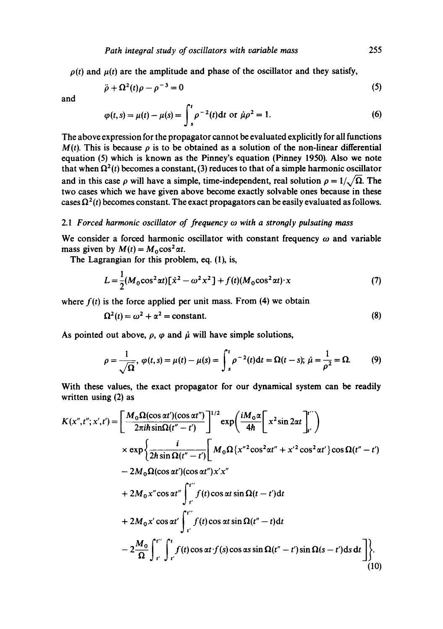$\rho(t)$  and  $\mu(t)$  are the amplitude and phase of the oscillator and they satisfy,

$$
\ddot{\rho} + \Omega^2(t)\rho - \rho^{-3} = 0 \tag{5}
$$

and

$$
\varphi(t,s) = \mu(t) - \mu(s) = \int_{s}^{t} \rho^{-2}(t) dt \text{ or } \dot{\mu}\rho^{2} = 1.
$$
 (6)

The above expression for the propagator cannot be evaluated explicitly for all functions  $M(t)$ . This is because  $\rho$  is to be obtained as a solution of the non-linear differential equation (5) which is known as the Pinney's equation (Pinney 1950). Also we note that when  $\Omega^2(t)$  becomes a constant, (3) reduces to that of a simple harmonic oscillator and in this case  $\rho$  will have a simple, time-independent, real solution  $\rho = 1/\sqrt{\Omega}$ . The two cases which we have given above become exactly solvable ones because in these cases  $\Omega^2(t)$  becomes constant. The exact propagators can be easily evaluated as follows.

#### *2.1 Forced harmonic oscillator of frequency co with a strongly pulsating mass*

We consider a forced harmonic oscillator with constant frequency  $\omega$  and variable mass given by  $M(t) = M_0 \cos^2 \alpha t$ .

The Lagrangian for this problem, eq. (1), is,

$$
L = \frac{1}{2} (M_0 \cos^2 \alpha t) [\dot{x}^2 - \omega^2 x^2] + f(t) (M_0 \cos^2 \alpha t) \cdot x \tag{7}
$$

where  $f(t)$  is the force applied per unit mass. From (4) we obtain

$$
\Omega^2(t) = \omega^2 + \alpha^2 = \text{constant.} \tag{8}
$$

As pointed out above,  $\rho$ ,  $\varphi$  and  $\mu$  will have simple solutions,

$$
\rho = \frac{1}{\sqrt{\Omega}}, \ \varphi(t,s) = \mu(t) - \mu(s) = \int_{s}^{t} \rho^{-2}(t) \, \mathrm{d}t = \Omega(t-s); \ \dot{\mu} = \frac{1}{\rho^{2}} = \Omega. \tag{9}
$$

With these values, the exact propagator for our dynamical system can be readily written using (2) as

$$
K(x'',t'';x',t') = \left[\frac{M_0 \Omega(\cos \alpha t')(\cos \alpha t'')}{2\pi i \hbar \sin \Omega(t''-t')} \right]^{1/2} \exp\left(\frac{iM_0 \alpha}{4\hbar} \left[x^2 \sin 2\alpha t \right]_{t'}^{t''}\right)
$$
  
\n
$$
\times \exp\left\{\frac{i}{2\hbar \sin \Omega(t''-t')} \left[M_0 \Omega\left\{x''^2 \cos^2 \alpha t'' + x'^2 \cos^2 \alpha t'\right\} \cos \Omega(t''-t')\right.\right.\n- 2M_0 \Omega(\cos \alpha t')(\cos \alpha t'')x'x''\n+ 2M_0 x'' \cos \alpha t'' \int_{t'}^{t''} f(t) \cos \alpha t \sin \Omega(t-t') dt\n+ 2M_0 x' \cos \alpha t' \int_{t'}^{t''} f(t) \cos \alpha t \sin \Omega(t''-t) dt\n- 2\frac{M_0}{\Omega} \int_{t'}^{t''} \int_{t'}^{t} f(t) \cos \alpha t \sin \Omega(t''-t') \sin \Omega(s-t') ds dt \bigg]\left\}.
$$
\n(10)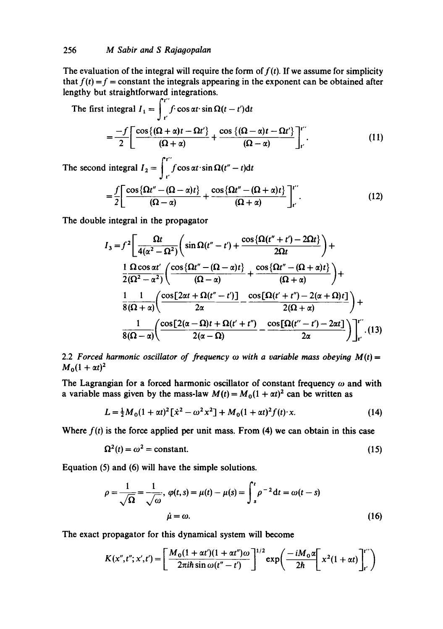The evaluation of the integral will require the form of  $f(t)$ . If we assume for simplicity that  $f(t) = f =$ constant the integrals appearing in the exponent can be obtained after lengthy but straightforward integrations.

The first integral 
$$
I_1 = \int_{t'}^{t} f \cdot \cos \alpha t \cdot \sin \Omega(t - t') dt
$$
  
=  $\frac{-f}{2} \left[ \frac{\cos \{(\Omega + \alpha)t - \Omega t'\}}{(\Omega + \alpha)} + \frac{\cos \{(\Omega - \alpha)t - \Omega t'\}}{(\Omega - \alpha)} \right]_{t'}^{t''}$ . (11)

The second integral  $I_2 = \int_{t}^{t} f \cos \alpha t \cdot \sin \Omega(t'' - t) dt$  $f\left[\cos{\lbrace\Omega t''-(\Omega-\alpha)t\rbrace} \right]$   $\cos{\lbrace\Omega t''-(\Omega+\alpha)t\rbrace}$  |i  $2 \begin{bmatrix} (\Omega - \alpha) & (\Omega + \alpha) \end{bmatrix}$ 

The double integral in the propagator

$$
I_3 = f^2 \left[ \frac{\Omega t}{4(\alpha^2 - \Omega^2)} \left( \sin \Omega (t'' - t') + \frac{\cos \{\Omega (t'' + t') - 2\Omega t\}}{2\Omega t} \right) + \frac{1}{2(\Omega^2 - \alpha^2)} \left( \frac{\cos \{\Omega t'' - (\Omega - \alpha)t\}}{(\Omega - \alpha)} + \frac{\cos \{\Omega t'' - (\Omega + \alpha)t\}}{(\Omega + \alpha)} \right) + \frac{1}{8(\Omega + \alpha)} \left( \frac{\cos [2\alpha t + \Omega (t'' - t')]}{2\alpha} - \frac{\cos [2\Omega (t' + t'') - 2(\alpha + \Omega)t]}{2(\Omega + \alpha)} \right) + \frac{1}{8(\Omega - \alpha)} \left( \frac{\cos [2(\alpha - \Omega)t + \Omega (t' + t'')}{2(\alpha - \Omega)} - \frac{\cos [2(\alpha t'' - t') - 2\alpha t]}{2\alpha} \right) \right]_{t'}^{t''} . (13)
$$

2.2 *Forced harmonic oscillator of frequency*  $\omega$  *with a variable mass obeying M(t)* =  $M_0(1 + \alpha t)^2$ 

The Lagrangian for a forced harmonic oscillator of constant frequency  $\omega$  and with a variable mass given by the mass-law  $M(t) = M_0(1 + \alpha t)^2$  can be written as

$$
L = \frac{1}{2}M_0(1 + \alpha t)^2 \left[ \dot{x}^2 - \omega^2 x^2 \right] + M_0(1 + \alpha t)^2 f(t) \cdot x. \tag{14}
$$

Where  $f(t)$  is the force applied per unit mass. From (4) we can obtain in this case

$$
\Omega^2(t) = \omega^2 = \text{constant.} \tag{15}
$$

Equation (5) and (6) will have the simple solutions.

$$
\rho = \frac{1}{\sqrt{\Omega}} = \frac{1}{\sqrt{\omega}}, \ \varphi(t, s) = \mu(t) - \mu(s) = \int_{s}^{t} \rho^{-2} dt = \omega(t - s)
$$
\n
$$
\dot{\mu} = \omega.
$$
\n(16)

The exact propagator for this dynamical system will become

$$
K(x'',t'';x',t') = \left[\frac{M_0(1+\alpha t')(1+\alpha t'')\omega}{2\pi i\hbar \sin \omega(t''-t')}\right]^{1/2} \exp\left(\frac{-iM_0\alpha}{2\hbar}\left[x^2(1+\alpha t)\right]_{t'}^{t''}\right)
$$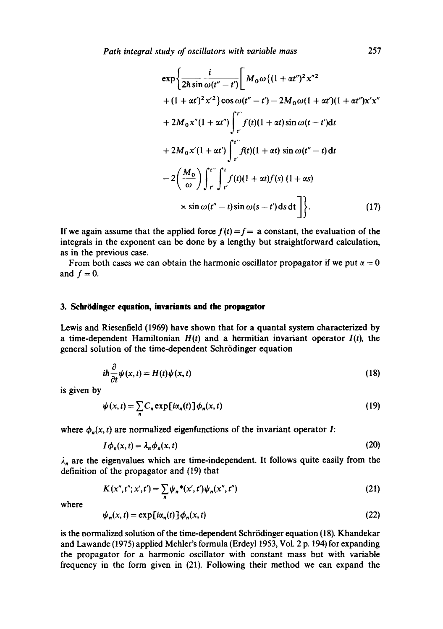*Path integral study of oscillators with variable mass* 257

$$
\exp\left\{\frac{i}{2\hbar\sin\omega(t''-t')}\left[M_0\omega\{(1+\alpha t'')^2x''^2\right]\n+ (1+\alpha t')^2x'^2\}cos\omega(t''-t') - 2M_0\omega(1+\alpha t')(1+\alpha t'')x'x''\n+ 2M_0x''(1+\alpha t'')\int_{t'}^{t''}f(t)(1+\alpha t)\sin\omega(t-t')dt\n+ 2M_0x'(1+\alpha t')\int_{t'}^{t''}f(t)(1+\alpha t)\sin\omega(t''-t)dt\n- 2\left(\frac{M_0}{\omega}\right)\int_{t'}^{t''}\int_{t'}^{t}f(t)(1+\alpha t)f(s)(1+\alpha s)\n\times \sin\omega(t''-t)\sin\omega(s-t')dsdt\right\}.
$$
\n(17)

If we again assume that the applied force  $f(t) = f$  = a constant, the evaluation of the integrals in the exponent can be done by a lengthy but straightforward calculation, as in the previous case.

From both cases we can obtain the harmonic oscillator propagator if we put  $\alpha = 0$ and  $f = 0$ .

#### **3. Schrödinger equation, invariants and the propagator**

Lewis and Riesenfield (1969) have shown that for a quantal system characterized by a time-dependent Hamiltonian  $H(t)$  and a hermitian invariant operator  $I(t)$ , the general solution of the time-dependent Schrödinger equation

$$
i\hbar \frac{\partial}{\partial t} \psi(x, t) = H(t) \psi(x, t)
$$
\n(18)

is given by

$$
\psi(x,t) = \sum_{n} C_n \exp[i\alpha_n(t)] \phi_n(x,t)
$$
\n(19)

where  $\phi_n(x, t)$  are normalized eigenfunctions of the invariant operator I:

$$
I\phi_n(x,t) = \lambda_n \phi_n(x,t) \tag{20}
$$

 $\lambda_n$  are the eigenvalues which are time-independent. It follows quite easily from the definition of the propagator and (19) that

$$
K(x'',t'';x',t') = \sum_{n} \psi_n^{\ast}(x',t')\psi_n(x'',t'')
$$
\n(21)

where

$$
\psi_n(x,t) = \exp[i\alpha_n(t)]\phi_n(x,t) \tag{22}
$$

is the normalized solution of the time-dependent Schrödinger equation (18). Khandekar and Lawande (1975) applied Mehler's formula (Erdeyl 1953, Vol. 2 p. 194) for expanding the propagator for a harmonic oscillator with constant mass but with variable frequency in the form given in (21). Following their method we can expand the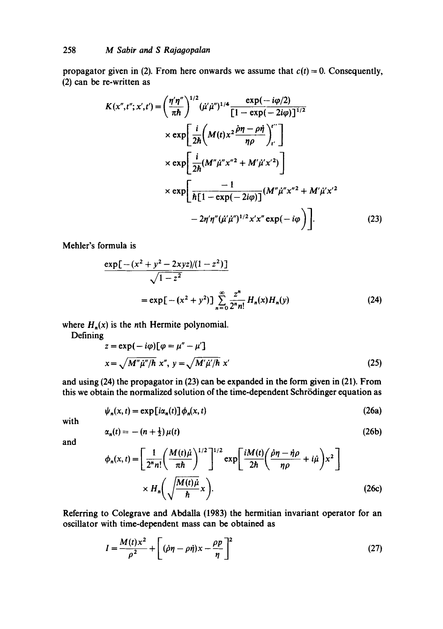propagator given in (2). From here onwards we assume that  $c(t) = 0$ . Consequently, (2) can be re-written as

$$
K(x'',t'';x',t') = \left(\frac{\eta'\eta''}{\pi\hbar}\right)^{1/2} (\mu'\mu'')^{1/4} \frac{\exp(-i\varphi/2)}{[1-\exp(-2i\varphi)]^{1/2}}\times \exp\left[\frac{i}{2\hbar} \left(M(t)x^2\frac{\partial\eta-\rho\dot{\eta}}{\eta\rho}\right)_{t'}^{t''}\right] \times \exp\left[\frac{i}{2\hbar} (M''\mu''x''^2 + M'\mu'x'^2)\right] \times \exp\left[\frac{-1}{\hbar[1-\exp(-2i\varphi)]}(M''\mu''x''^2 + M'\mu'x'^2 - 2\eta'\eta''(\mu'\mu'')^{1/2}x'x''\exp(-i\varphi)\right].
$$
 (23)

Mehler's formula is

$$
\frac{\exp[-(x^2 + y^2 - 2xyz)/(1 - z^2)]}{\sqrt{1 - z^2}}
$$
  
=  $\exp[-(x^2 + y^2)] \sum_{n=0}^{\infty} \frac{z^n}{2^n n!} H_n(x) H_n(y)$  (24)

where  $H_n(x)$  is the *n*th Hermite polynomial.

Defining

$$
z = \exp(-i\varphi)[\varphi = \mu'' - \mu']
$$
  

$$
x = \sqrt{M''\mu''/\hbar} x'', \ y = \sqrt{M'\mu'/\hbar} x'
$$
 (25)

and using (24) the propagator in (23) can be expanded in the form given in (21). From this we obtain the normalized solution of the time-dependent Schrödinger equation as

$$
\psi_n(x,t) = \exp[i\alpha_n(t)] \phi_n(x,t) \tag{26a}
$$

with

$$
\alpha_n(t) = -\left(n + \frac{1}{2}\right)\mu(t) \tag{26b}
$$

and

$$
\phi_n(x,t) = \left[ \frac{1}{2^n n!} \left( \frac{M(t)\mu}{\pi \hbar} \right)^{1/2} \right]^{1/2} \exp\left[ \frac{iM(t)}{2\hbar} \left( \frac{\partial \eta - \eta \rho}{\eta \rho} + i\mu \right) x^2 \right] \times H_n\left(\sqrt{\frac{M(t)\mu}{\hbar}} x\right).
$$
\n(26c)

Referring to Colegrave and Abdalla (1983) the hermitian invariant operator for an oscillator with time-dependent mass can be obtained as

$$
I = \frac{M(t)x^2}{\rho^2} + \left[ (\dot{\rho}\eta - \rho\dot{\eta})x - \frac{\rho p}{\eta} \right]^2
$$
 (27)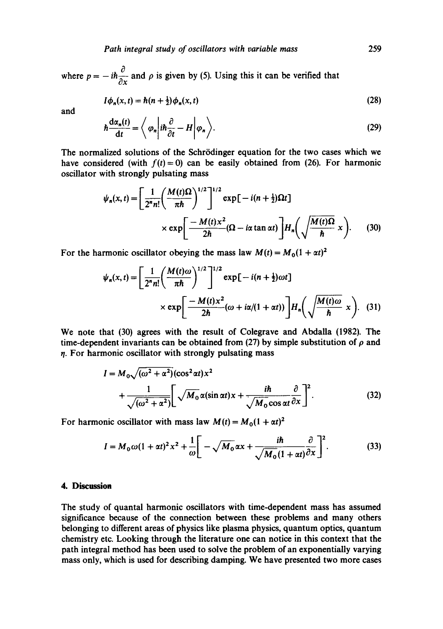where  $p = -i\hbar \frac{\partial}{\partial x}$  and  $\rho$  is given by (5). Using this it can be verified that

$$
I\phi_n(x,t) = \hbar(n+\tfrac{1}{2})\phi_n(x,t) \tag{28}
$$

and

$$
\hbar \frac{d\alpha_n(t)}{dt} = \left\langle \varphi_n \left| i\hbar \frac{\partial}{\partial t} - H \right| \varphi_n \right\rangle. \tag{29}
$$

The normalized solutions of the Schrödinger equation for the two cases which we have considered (with  $f(t)=0$ ) can be easily obtained from (26). For harmonic oscillator with strongly pulsating mass

$$
\psi_n(x,t) = \left[\frac{1}{2^n n!} \left(\frac{M(t)\Omega}{\pi\hbar}\right)^{1/2}\right]^{1/2} \exp\left[-i(n+\frac{1}{2})\Omega t\right]
$$

$$
\times \exp\left[\frac{-M(t)x^2}{2\hbar}(\Omega - i\alpha\tan\alpha t)\right]H_n\left(\sqrt{\frac{M(t)\Omega}{\hbar}}x\right). \tag{30}
$$

For the harmonic oscillator obeying the mass law  $M(t) = M_0(1 + \alpha t)^2$ 

$$
\psi_n(x,t) = \left[\frac{1}{2^n n!} \left(\frac{M(t)\omega}{\pi\hbar}\right)^{1/2}\right]^{1/2} \exp\left[-i(n+\frac{1}{2})\omega t\right]
$$

$$
\times \exp\left[\frac{-M(t)x^2}{2\hbar}(\omega+i\alpha/(1+\alpha t))\right]H_n\left(\sqrt{\frac{M(t)\omega}{\hbar}}x\right). \quad (31)
$$

We note that (30) agrees with the result of Colegrave and Abdalla (1982). The time-dependent invariants can be obtained from (27) by simple substitution of  $\rho$  and  $\eta$ . For harmonic oscillator with strongly pulsating mass

$$
I = M_0 \sqrt{(\omega^2 + \alpha^2)} (\cos^2 \alpha t) x^2
$$
  
+ 
$$
\frac{1}{\sqrt{(\omega^2 + \alpha^2)}} \left[ \sqrt{M_0} \alpha (\sin \alpha t) x + \frac{i \hbar}{\sqrt{M_0} \cos \alpha t} \frac{\partial}{\partial x} \right]^2.
$$
 (32)

For harmonic oscillator with mass law  $M(t) = M_0(1 + \alpha t)^2$ 

$$
I = M_0 \omega (1 + \alpha t)^2 x^2 + \frac{1}{\omega} \left[ -\sqrt{M_0} \alpha x + \frac{i \hbar}{\sqrt{M_0} (1 + \alpha t)} \frac{\partial}{\partial x} \right]^2.
$$
 (33)

#### **4. Discussion**

The study of quantal harmonic oscillators with time-dependent mass has assumed significance because of the connection between these problems and many others belonging to different areas of physics like plasma physics, quantum optics, quantum chemistry etc. Looking through the literature one can notice in this context that the path integral method has been used to solve the problem of an exponentially varying mass only, which is used for describing damping. We have presented two more cases